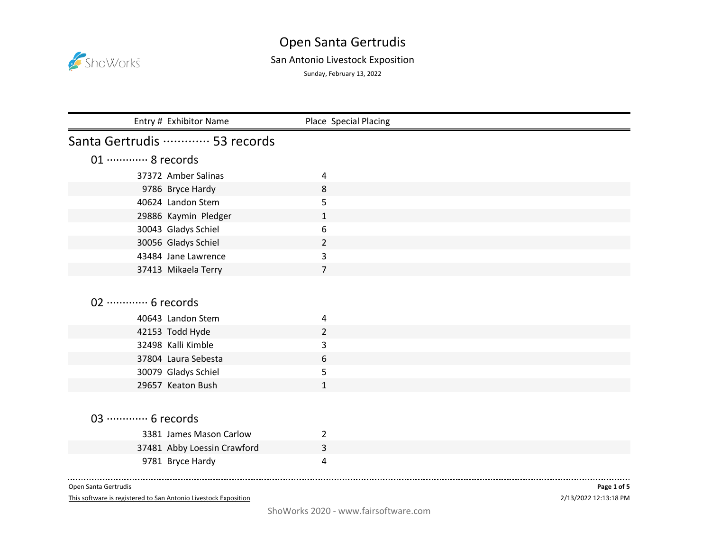

## Open Santa Gertrudis

## San Antonio Livestock Exposition

Sunday, February 13, 2022

| Entry # Exhibitor Name      | Place Special Placing |
|-----------------------------|-----------------------|
| Santa Gertrudis  53 records |                       |
| 01 ············· 8 records  |                       |
| 37372 Amber Salinas         | 4                     |
| 9786 Bryce Hardy            | 8                     |
| 40624 Landon Stem           | 5                     |
| 29886 Kaymin Pledger        | $\mathbf{1}$          |
| 30043 Gladys Schiel         | 6                     |
| 30056 Gladys Schiel         | 2                     |
| 43484 Jane Lawrence         | 3                     |
| 37413 Mikaela Terry         | $\overline{7}$        |
|                             |                       |
| 02 ············· 6 records  |                       |
| 40643 Landon Stem           | 4                     |
| 42153 Todd Hyde             | 2                     |
| 32498 Kalli Kimble          | 3                     |
| 37804 Laura Sebesta         | 6                     |
| 30079 Gladys Schiel         | 5                     |
| 29657 Keaton Bush           | $\mathbf{1}$          |
|                             |                       |
| 03 ·············· 6 records |                       |
| 3381 James Mason Carlow     | $\overline{2}$        |
| 37481 Abby Loessin Crawford | 3                     |
| 9781 Bryce Hardy            | 4                     |

Open Santa Gertrudis

This software is registered to San Antonio Livestock Exposition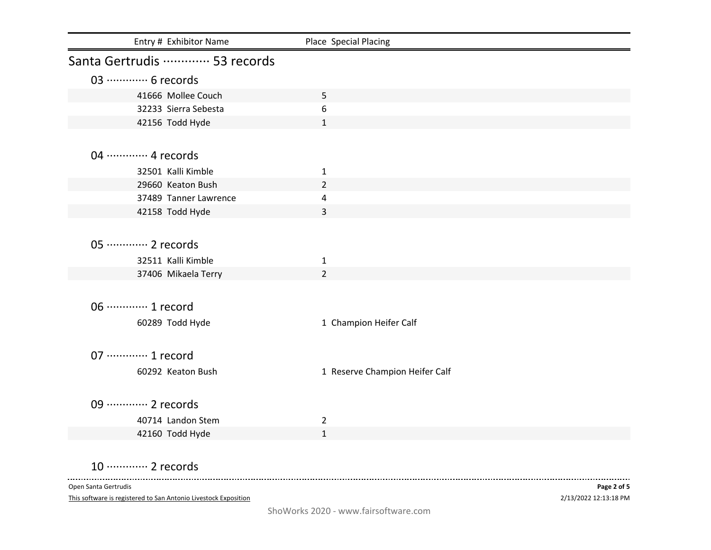| Entry # Exhibitor Name      | Place Special Placing          |
|-----------------------------|--------------------------------|
| Santa Gertrudis  53 records |                                |
| 03 ………… 6 records           |                                |
| 41666 Mollee Couch          | 5                              |
| 32233 Sierra Sebesta        | 6                              |
| 42156 Todd Hyde             | $\mathbf{1}$                   |
|                             |                                |
| 04 ………… 4 records           |                                |
| 32501 Kalli Kimble          | $\mathbf{1}$                   |
| 29660 Keaton Bush           | $\overline{2}$                 |
| 37489 Tanner Lawrence       | 4                              |
| 42158 Todd Hyde             | 3                              |
|                             |                                |
| 05 ············· 2 records  |                                |
| 32511 Kalli Kimble          | $\mathbf{1}$                   |
| 37406 Mikaela Terry         | $\overline{2}$                 |
|                             |                                |
| 06 ············· 1 record   |                                |
| 60289 Todd Hyde             | 1 Champion Heifer Calf         |
|                             |                                |
| 07 ············· 1 record   |                                |
| 60292 Keaton Bush           | 1 Reserve Champion Heifer Calf |
|                             |                                |
| 09 ············· 2 records  |                                |
| 40714 Landon Stem           | $\overline{2}$                 |
| 42160 Todd Hyde             | $\mathbf{1}$                   |
|                             |                                |

10 ············· 2 records

Open Santa Gertrudis

This software is registered to San Antonio Livestock Exposition

2/13/2022 12:13:18 PM **Page 2 of 5**

. . . . . . .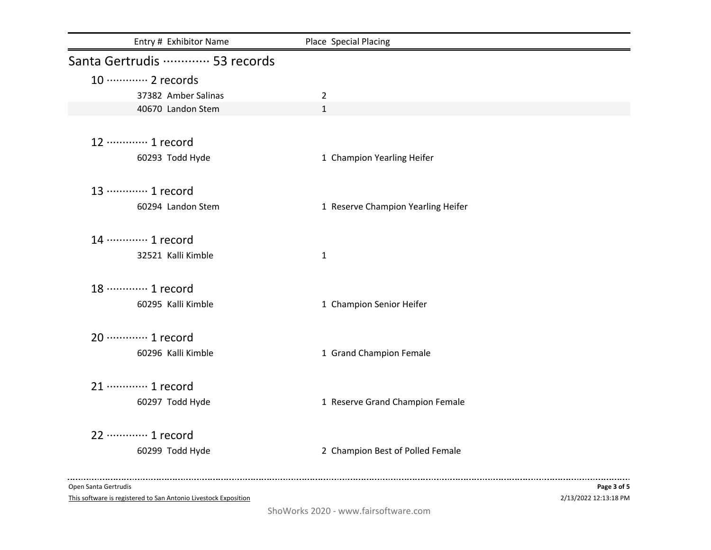| Entry # Exhibitor Name      | Place Special Placing              |
|-----------------------------|------------------------------------|
| Santa Gertrudis  53 records |                                    |
| 10 ············· 2 records  |                                    |
| 37382 Amber Salinas         | $\overline{2}$                     |
| 40670 Landon Stem           | $\mathbf{1}$                       |
|                             |                                    |
| 12 ………… 1 record            |                                    |
| 60293 Todd Hyde             | 1 Champion Yearling Heifer         |
|                             |                                    |
| 13 ………… 1 record            |                                    |
| 60294 Landon Stem           | 1 Reserve Champion Yearling Heifer |
|                             |                                    |
| 14 ………… 1 record            |                                    |
| 32521 Kalli Kimble          | $\mathbf{1}$                       |
|                             |                                    |
| 18 ………… 1 record            |                                    |
| 60295 Kalli Kimble          | 1 Champion Senior Heifer           |
|                             |                                    |
| 20 ············· 1 record   |                                    |
| 60296 Kalli Kimble          | 1 Grand Champion Female            |
|                             |                                    |
| 21 ………… 1 record            |                                    |
| 60297 Todd Hyde             | 1 Reserve Grand Champion Female    |
|                             |                                    |
| 22 ………… 1 record            |                                    |
| 60299 Todd Hyde             | 2 Champion Best of Polled Female   |
|                             |                                    |

Open Santa Gertrudis

This software is registered to San Antonio Livestock Exposition

2/13/2022 12:13:18 PM **Page 3 of 5**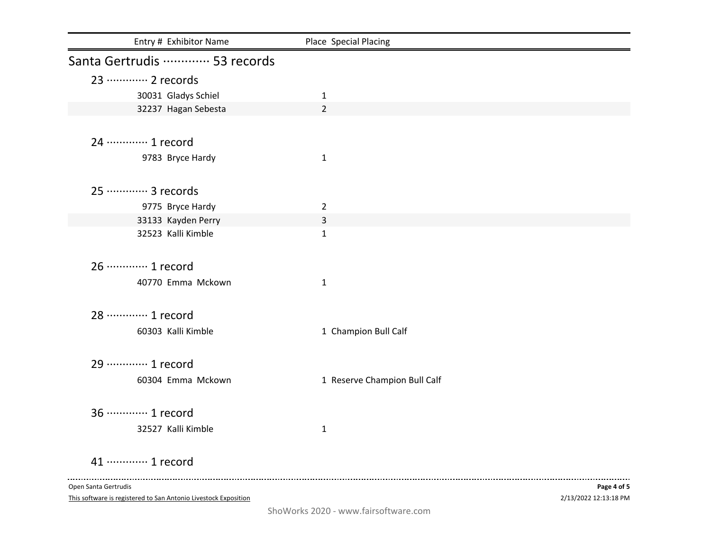| Entry # Exhibitor Name                   | Place Special Placing        |             |
|------------------------------------------|------------------------------|-------------|
| Santa Gertrudis ………… 53 records          |                              |             |
| 23  2 records                            |                              |             |
| 30031 Gladys Schiel                      | $\mathbf{1}$                 |             |
| 32237 Hagan Sebesta                      | $\overline{2}$               |             |
|                                          |                              |             |
| 24 ………… 1 record                         |                              |             |
| 9783 Bryce Hardy                         | $\mathbf{1}$                 |             |
|                                          |                              |             |
| 25 ………… 3 records                        |                              |             |
| 9775 Bryce Hardy                         | $\overline{2}$               |             |
| 33133 Kayden Perry<br>32523 Kalli Kimble | 3<br>$\mathbf{1}$            |             |
|                                          |                              |             |
| 26 ············· 1 record                |                              |             |
| 40770 Emma Mckown                        | $\mathbf{1}$                 |             |
|                                          |                              |             |
| 28 ………… 1 record                         |                              |             |
| 60303 Kalli Kimble                       | 1 Champion Bull Calf         |             |
| 29 ………… 1 record                         |                              |             |
| 60304 Emma Mckown                        | 1 Reserve Champion Bull Calf |             |
|                                          |                              |             |
| 36 ············· 1 record                |                              |             |
| 32527 Kalli Kimble                       | $\mathbf{1}$                 |             |
| 41 ………… 1 record                         |                              |             |
| Open Santa Gertrudis                     |                              | Page 4 of 5 |

This software is registered to San Antonio Livestock Exposition